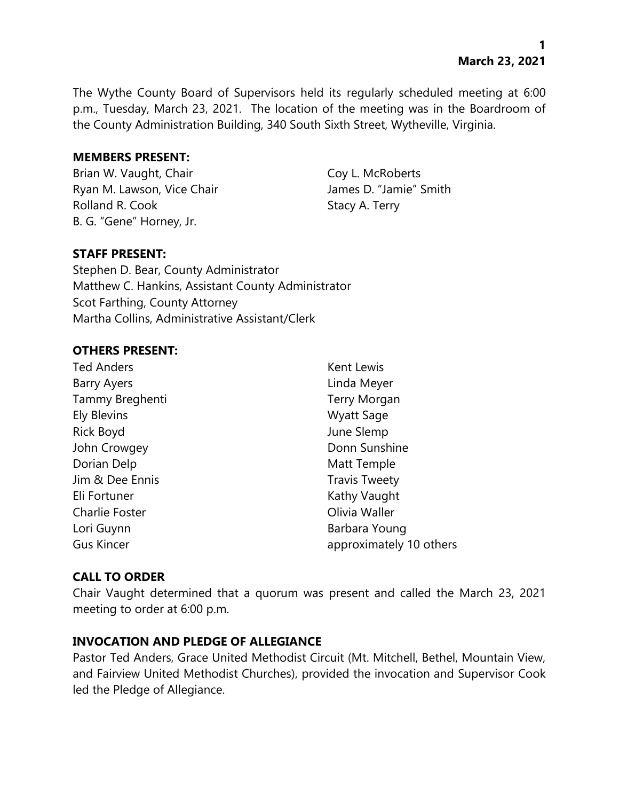**1 March 23, 2021**

The Wythe County Board of Supervisors held its regularly scheduled meeting at 6:00 p.m., Tuesday, March 23, 2021. The location of the meeting was in the Boardroom of the County Administration Building, 340 South Sixth Street, Wytheville, Virginia.

#### **MEMBERS PRESENT:**

Brian W. Vaught, Chair Coy L. McRoberts Ryan M. Lawson, Vice Chair **James D. "Jamie"** Smith Rolland R. Cook Stacy A. Terry B. G. "Gene" Horney, Jr.

## **STAFF PRESENT:**

Stephen D. Bear, County Administrator Matthew C. Hankins, Assistant County Administrator Scot Farthing, County Attorney Martha Collins, Administrative Assistant/Clerk

#### **OTHERS PRESENT:**

| <b>Ted Anders</b>     | Kent Lewis              |
|-----------------------|-------------------------|
| <b>Barry Ayers</b>    | Linda Meyer             |
| Tammy Breghenti       | <b>Terry Morgan</b>     |
| <b>Ely Blevins</b>    | <b>Wyatt Sage</b>       |
| <b>Rick Boyd</b>      | June Slemp              |
| John Crowgey          | Donn Sunshine           |
| Dorian Delp           | Matt Temple             |
| Jim & Dee Ennis       | <b>Travis Tweety</b>    |
| Eli Fortuner          | Kathy Vaught            |
| <b>Charlie Foster</b> | Olivia Waller           |
| Lori Guynn            | Barbara Young           |
| <b>Gus Kincer</b>     | approximately 10 others |
|                       |                         |

#### **CALL TO ORDER**

Chair Vaught determined that a quorum was present and called the March 23, 2021 meeting to order at 6:00 p.m.

## **INVOCATION AND PLEDGE OF ALLEGIANCE**

Pastor Ted Anders, Grace United Methodist Circuit (Mt. Mitchell, Bethel, Mountain View, and Fairview United Methodist Churches), provided the invocation and Supervisor Cook led the Pledge of Allegiance.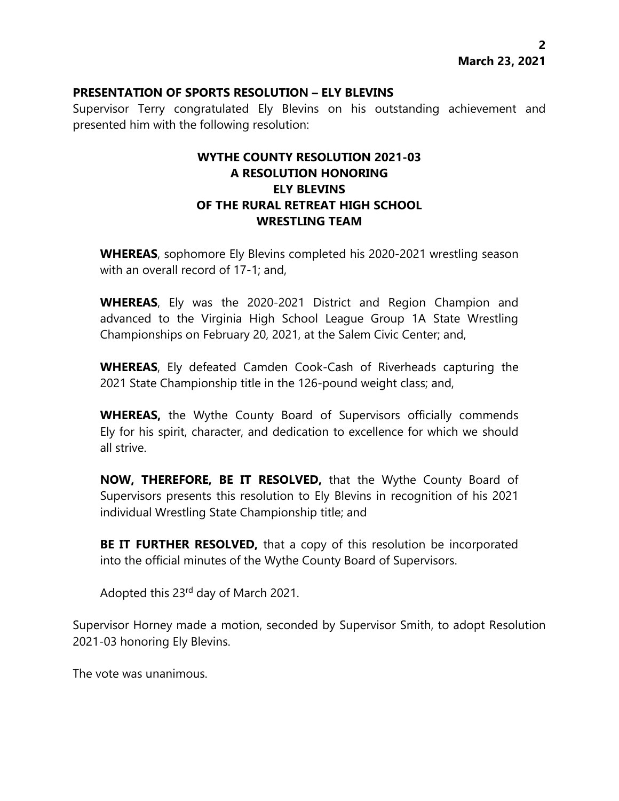### **PRESENTATION OF SPORTS RESOLUTION – ELY BLEVINS**

Supervisor Terry congratulated Ely Blevins on his outstanding achievement and presented him with the following resolution:

# **WYTHE COUNTY RESOLUTION 2021-03 A RESOLUTION HONORING ELY BLEVINS OF THE RURAL RETREAT HIGH SCHOOL WRESTLING TEAM**

**WHEREAS**, sophomore Ely Blevins completed his 2020-2021 wrestling season with an overall record of 17-1; and,

**WHEREAS**, Ely was the 2020-2021 District and Region Champion and advanced to the Virginia High School League Group 1A State Wrestling Championships on February 20, 2021, at the Salem Civic Center; and,

**WHEREAS**, Ely defeated Camden Cook-Cash of Riverheads capturing the 2021 State Championship title in the 126-pound weight class; and,

**WHEREAS,** the Wythe County Board of Supervisors officially commends Ely for his spirit, character, and dedication to excellence for which we should all strive.

**NOW, THEREFORE, BE IT RESOLVED,** that the Wythe County Board of Supervisors presents this resolution to Ely Blevins in recognition of his 2021 individual Wrestling State Championship title; and

**BE IT FURTHER RESOLVED,** that a copy of this resolution be incorporated into the official minutes of the Wythe County Board of Supervisors.

Adopted this 23rd day of March 2021.

Supervisor Horney made a motion, seconded by Supervisor Smith, to adopt Resolution 2021-03 honoring Ely Blevins.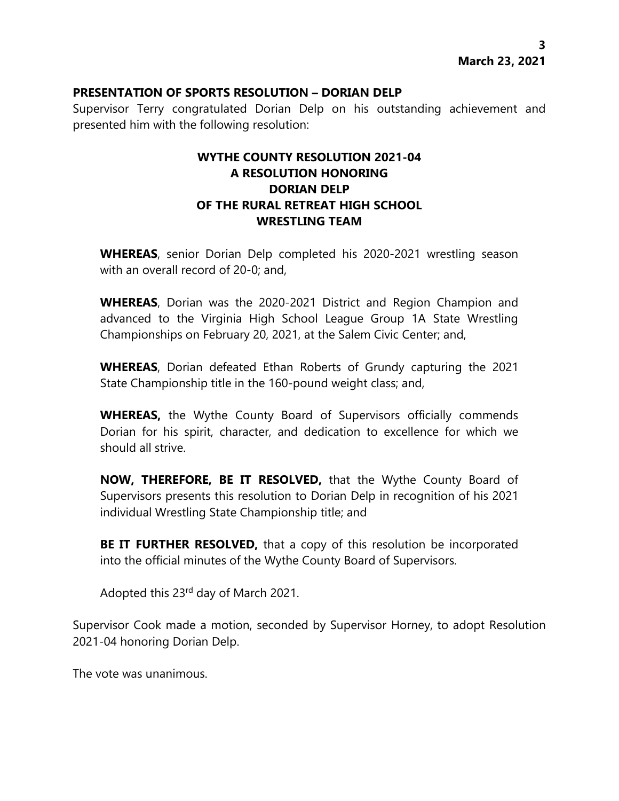### **PRESENTATION OF SPORTS RESOLUTION – DORIAN DELP**

Supervisor Terry congratulated Dorian Delp on his outstanding achievement and presented him with the following resolution:

# **WYTHE COUNTY RESOLUTION 2021-04 A RESOLUTION HONORING DORIAN DELP OF THE RURAL RETREAT HIGH SCHOOL WRESTLING TEAM**

**WHEREAS**, senior Dorian Delp completed his 2020-2021 wrestling season with an overall record of 20-0; and,

**WHEREAS**, Dorian was the 2020-2021 District and Region Champion and advanced to the Virginia High School League Group 1A State Wrestling Championships on February 20, 2021, at the Salem Civic Center; and,

**WHEREAS**, Dorian defeated Ethan Roberts of Grundy capturing the 2021 State Championship title in the 160-pound weight class; and,

**WHEREAS,** the Wythe County Board of Supervisors officially commends Dorian for his spirit, character, and dedication to excellence for which we should all strive.

**NOW, THEREFORE, BE IT RESOLVED,** that the Wythe County Board of Supervisors presents this resolution to Dorian Delp in recognition of his 2021 individual Wrestling State Championship title; and

**BE IT FURTHER RESOLVED,** that a copy of this resolution be incorporated into the official minutes of the Wythe County Board of Supervisors.

Adopted this 23rd day of March 2021.

Supervisor Cook made a motion, seconded by Supervisor Horney, to adopt Resolution 2021-04 honoring Dorian Delp.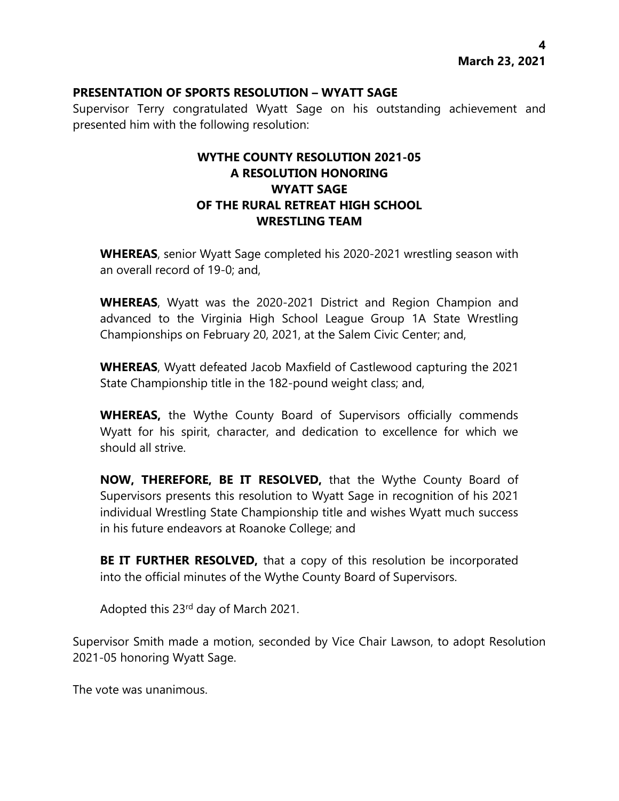#### **PRESENTATION OF SPORTS RESOLUTION – WYATT SAGE**

Supervisor Terry congratulated Wyatt Sage on his outstanding achievement and presented him with the following resolution:

# **WYTHE COUNTY RESOLUTION 2021-05 A RESOLUTION HONORING WYATT SAGE OF THE RURAL RETREAT HIGH SCHOOL WRESTLING TEAM**

**WHEREAS**, senior Wyatt Sage completed his 2020-2021 wrestling season with an overall record of 19-0; and,

**WHEREAS**, Wyatt was the 2020-2021 District and Region Champion and advanced to the Virginia High School League Group 1A State Wrestling Championships on February 20, 2021, at the Salem Civic Center; and,

**WHEREAS**, Wyatt defeated Jacob Maxfield of Castlewood capturing the 2021 State Championship title in the 182-pound weight class; and,

**WHEREAS,** the Wythe County Board of Supervisors officially commends Wyatt for his spirit, character, and dedication to excellence for which we should all strive.

**NOW, THEREFORE, BE IT RESOLVED,** that the Wythe County Board of Supervisors presents this resolution to Wyatt Sage in recognition of his 2021 individual Wrestling State Championship title and wishes Wyatt much success in his future endeavors at Roanoke College; and

**BE IT FURTHER RESOLVED,** that a copy of this resolution be incorporated into the official minutes of the Wythe County Board of Supervisors.

Adopted this 23rd day of March 2021.

Supervisor Smith made a motion, seconded by Vice Chair Lawson, to adopt Resolution 2021-05 honoring Wyatt Sage.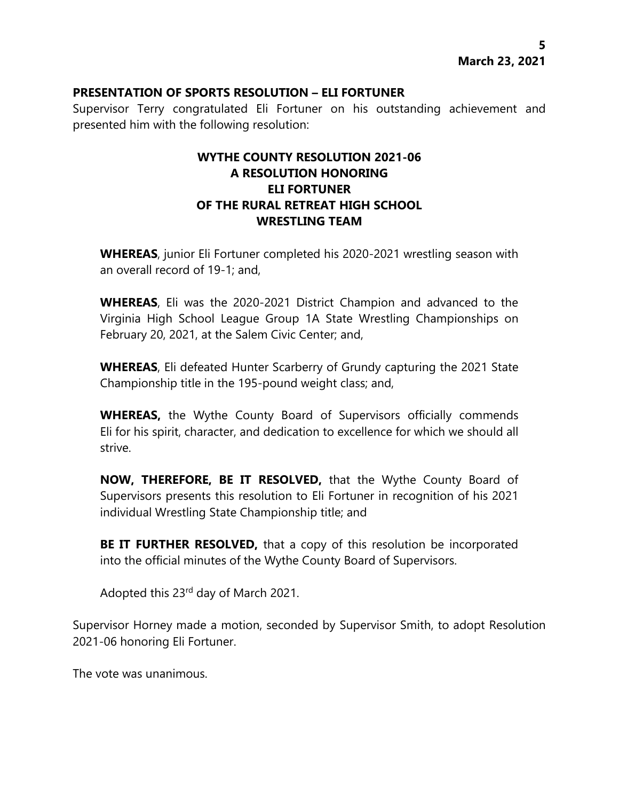### **PRESENTATION OF SPORTS RESOLUTION – ELI FORTUNER**

Supervisor Terry congratulated Eli Fortuner on his outstanding achievement and presented him with the following resolution:

# **WYTHE COUNTY RESOLUTION 2021-06 A RESOLUTION HONORING ELI FORTUNER OF THE RURAL RETREAT HIGH SCHOOL WRESTLING TEAM**

**WHEREAS**, junior Eli Fortuner completed his 2020-2021 wrestling season with an overall record of 19-1; and,

**WHEREAS**, Eli was the 2020-2021 District Champion and advanced to the Virginia High School League Group 1A State Wrestling Championships on February 20, 2021, at the Salem Civic Center; and,

**WHEREAS**, Eli defeated Hunter Scarberry of Grundy capturing the 2021 State Championship title in the 195-pound weight class; and,

**WHEREAS,** the Wythe County Board of Supervisors officially commends Eli for his spirit, character, and dedication to excellence for which we should all strive.

**NOW, THEREFORE, BE IT RESOLVED,** that the Wythe County Board of Supervisors presents this resolution to Eli Fortuner in recognition of his 2021 individual Wrestling State Championship title; and

**BE IT FURTHER RESOLVED,** that a copy of this resolution be incorporated into the official minutes of the Wythe County Board of Supervisors.

Adopted this 23rd day of March 2021.

Supervisor Horney made a motion, seconded by Supervisor Smith, to adopt Resolution 2021-06 honoring Eli Fortuner.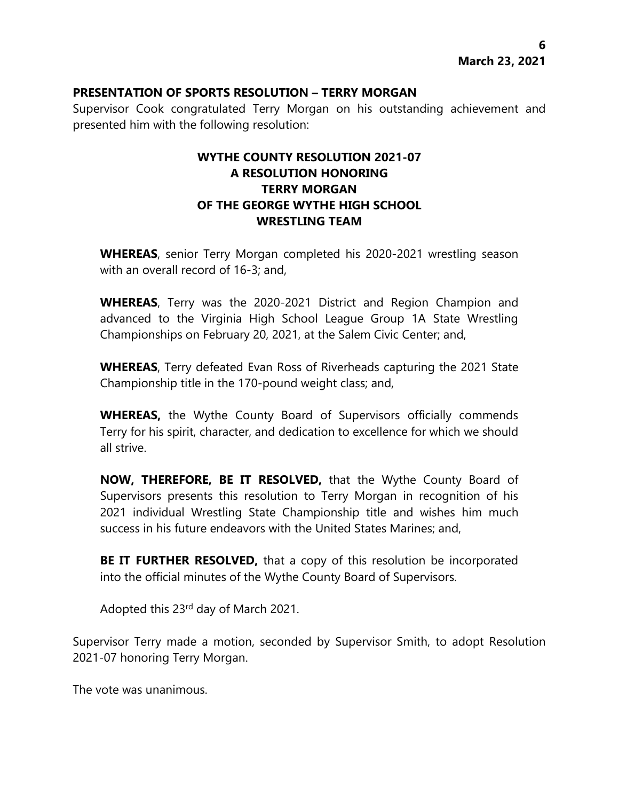### **PRESENTATION OF SPORTS RESOLUTION – TERRY MORGAN**

Supervisor Cook congratulated Terry Morgan on his outstanding achievement and presented him with the following resolution:

# **WYTHE COUNTY RESOLUTION 2021-07 A RESOLUTION HONORING TERRY MORGAN OF THE GEORGE WYTHE HIGH SCHOOL WRESTLING TEAM**

**WHEREAS**, senior Terry Morgan completed his 2020-2021 wrestling season with an overall record of 16-3; and,

**WHEREAS**, Terry was the 2020-2021 District and Region Champion and advanced to the Virginia High School League Group 1A State Wrestling Championships on February 20, 2021, at the Salem Civic Center; and,

**WHEREAS**, Terry defeated Evan Ross of Riverheads capturing the 2021 State Championship title in the 170-pound weight class; and,

**WHEREAS,** the Wythe County Board of Supervisors officially commends Terry for his spirit, character, and dedication to excellence for which we should all strive.

**NOW, THEREFORE, BE IT RESOLVED,** that the Wythe County Board of Supervisors presents this resolution to Terry Morgan in recognition of his 2021 individual Wrestling State Championship title and wishes him much success in his future endeavors with the United States Marines; and,

**BE IT FURTHER RESOLVED,** that a copy of this resolution be incorporated into the official minutes of the Wythe County Board of Supervisors.

Adopted this 23rd day of March 2021.

Supervisor Terry made a motion, seconded by Supervisor Smith, to adopt Resolution 2021-07 honoring Terry Morgan.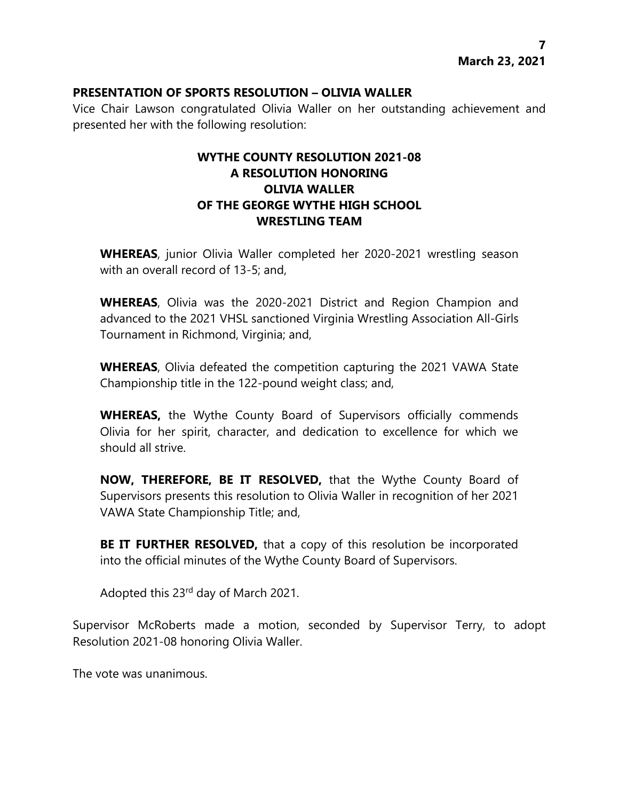#### **PRESENTATION OF SPORTS RESOLUTION – OLIVIA WALLER**

Vice Chair Lawson congratulated Olivia Waller on her outstanding achievement and presented her with the following resolution:

# **WYTHE COUNTY RESOLUTION 2021-08 A RESOLUTION HONORING OLIVIA WALLER OF THE GEORGE WYTHE HIGH SCHOOL WRESTLING TEAM**

**WHEREAS**, junior Olivia Waller completed her 2020-2021 wrestling season with an overall record of 13-5; and,

**WHEREAS**, Olivia was the 2020-2021 District and Region Champion and advanced to the 2021 VHSL sanctioned Virginia Wrestling Association All-Girls Tournament in Richmond, Virginia; and,

**WHEREAS**, Olivia defeated the competition capturing the 2021 VAWA State Championship title in the 122-pound weight class; and,

**WHEREAS,** the Wythe County Board of Supervisors officially commends Olivia for her spirit, character, and dedication to excellence for which we should all strive.

**NOW, THEREFORE, BE IT RESOLVED,** that the Wythe County Board of Supervisors presents this resolution to Olivia Waller in recognition of her 2021 VAWA State Championship Title; and,

**BE IT FURTHER RESOLVED,** that a copy of this resolution be incorporated into the official minutes of the Wythe County Board of Supervisors.

Adopted this 23rd day of March 2021.

Supervisor McRoberts made a motion, seconded by Supervisor Terry, to adopt Resolution 2021-08 honoring Olivia Waller.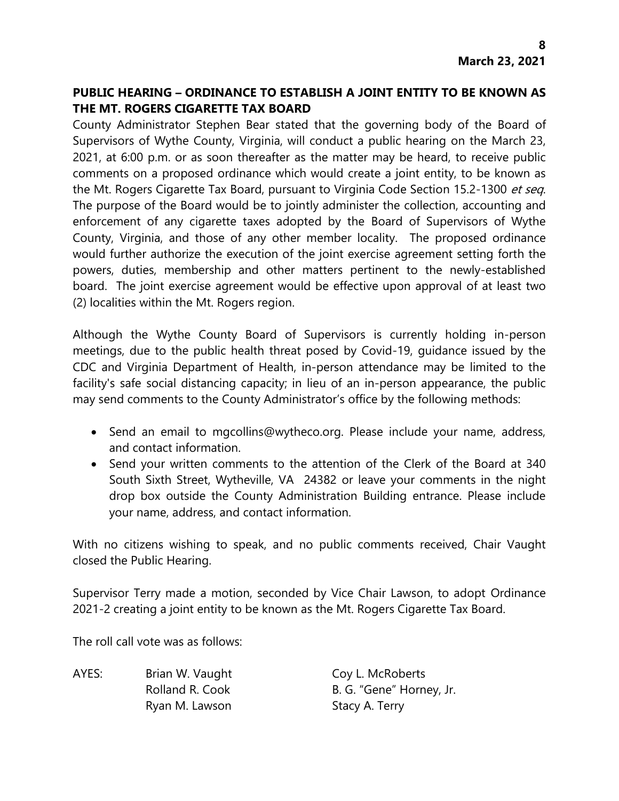# **PUBLIC HEARING – ORDINANCE TO ESTABLISH A JOINT ENTITY TO BE KNOWN AS THE MT. ROGERS CIGARETTE TAX BOARD**

County Administrator Stephen Bear stated that the governing body of the Board of Supervisors of Wythe County, Virginia, will conduct a public hearing on the March 23, 2021, at 6:00 p.m. or as soon thereafter as the matter may be heard, to receive public comments on a proposed ordinance which would create a joint entity, to be known as the Mt. Rogers Cigarette Tax Board, pursuant to Virginia Code Section 15.2-1300 et seq. The purpose of the Board would be to jointly administer the collection, accounting and enforcement of any cigarette taxes adopted by the Board of Supervisors of Wythe County, Virginia, and those of any other member locality. The proposed ordinance would further authorize the execution of the joint exercise agreement setting forth the powers, duties, membership and other matters pertinent to the newly-established board. The joint exercise agreement would be effective upon approval of at least two (2) localities within the Mt. Rogers region.

Although the Wythe County Board of Supervisors is currently holding in-person meetings, due to the public health threat posed by Covid-19, guidance issued by the CDC and Virginia Department of Health, in-person attendance may be limited to the facility's safe social distancing capacity; in lieu of an in-person appearance, the public may send comments to the County Administrator's office by the following methods:

- Send an email to mgcollins@wytheco.org. Please include your name, address, and contact information.
- Send your written comments to the attention of the Clerk of the Board at 340 South Sixth Street, Wytheville, VA 24382 or leave your comments in the night drop box outside the County Administration Building entrance. Please include your name, address, and contact information.

With no citizens wishing to speak, and no public comments received, Chair Vaught closed the Public Hearing.

Supervisor Terry made a motion, seconded by Vice Chair Lawson, to adopt Ordinance 2021-2 creating a joint entity to be known as the Mt. Rogers Cigarette Tax Board.

The roll call vote was as follows:

AYES: Brian W. Vaught Coy L. McRoberts Ryan M. Lawson Stacy A. Terry

Rolland R. Cook B. G. "Gene" Horney, Jr.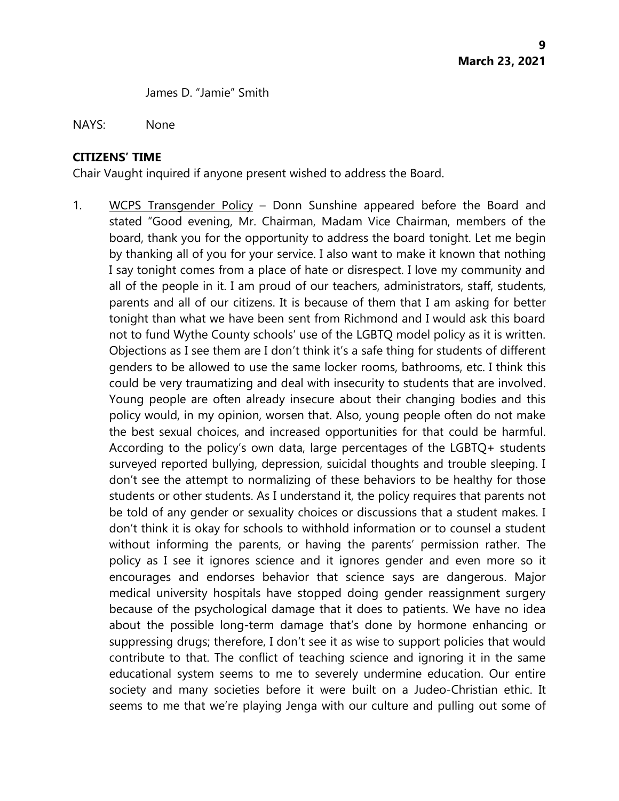James D. "Jamie" Smith

#### NAYS: None

#### **CITIZENS' TIME**

Chair Vaught inquired if anyone present wished to address the Board.

1. WCPS Transgender Policy – Donn Sunshine appeared before the Board and stated "Good evening, Mr. Chairman, Madam Vice Chairman, members of the board, thank you for the opportunity to address the board tonight. Let me begin by thanking all of you for your service. I also want to make it known that nothing I say tonight comes from a place of hate or disrespect. I love my community and all of the people in it. I am proud of our teachers, administrators, staff, students, parents and all of our citizens. It is because of them that I am asking for better tonight than what we have been sent from Richmond and I would ask this board not to fund Wythe County schools' use of the LGBTQ model policy as it is written. Objections as I see them are I don't think it's a safe thing for students of different genders to be allowed to use the same locker rooms, bathrooms, etc. I think this could be very traumatizing and deal with insecurity to students that are involved. Young people are often already insecure about their changing bodies and this policy would, in my opinion, worsen that. Also, young people often do not make the best sexual choices, and increased opportunities for that could be harmful. According to the policy's own data, large percentages of the LGBTQ+ students surveyed reported bullying, depression, suicidal thoughts and trouble sleeping. I don't see the attempt to normalizing of these behaviors to be healthy for those students or other students. As I understand it, the policy requires that parents not be told of any gender or sexuality choices or discussions that a student makes. I don't think it is okay for schools to withhold information or to counsel a student without informing the parents, or having the parents' permission rather. The policy as I see it ignores science and it ignores gender and even more so it encourages and endorses behavior that science says are dangerous. Major medical university hospitals have stopped doing gender reassignment surgery because of the psychological damage that it does to patients. We have no idea about the possible long-term damage that's done by hormone enhancing or suppressing drugs; therefore, I don't see it as wise to support policies that would contribute to that. The conflict of teaching science and ignoring it in the same educational system seems to me to severely undermine education. Our entire society and many societies before it were built on a Judeo-Christian ethic. It seems to me that we're playing Jenga with our culture and pulling out some of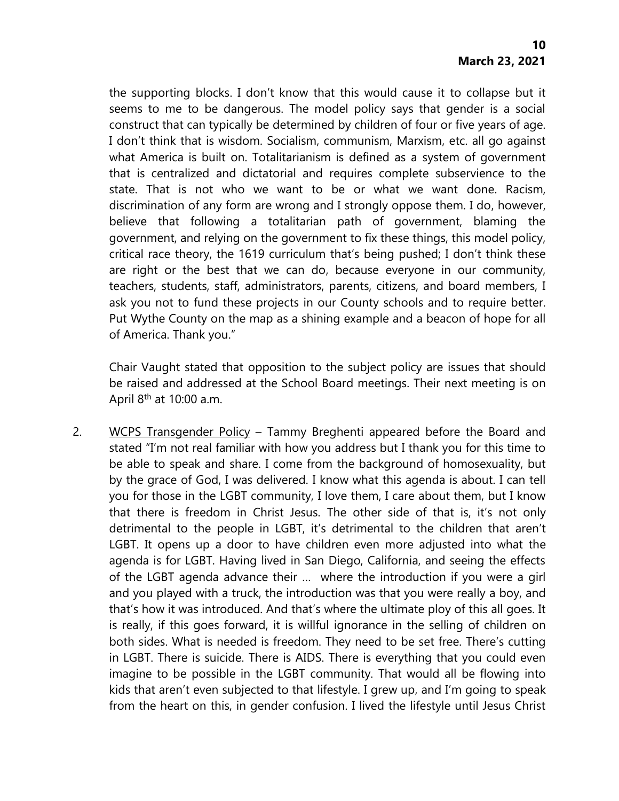the supporting blocks. I don't know that this would cause it to collapse but it seems to me to be dangerous. The model policy says that gender is a social construct that can typically be determined by children of four or five years of age. I don't think that is wisdom. Socialism, communism, Marxism, etc. all go against what America is built on. Totalitarianism is defined as a system of government that is centralized and dictatorial and requires complete subservience to the state. That is not who we want to be or what we want done. Racism, discrimination of any form are wrong and I strongly oppose them. I do, however, believe that following a totalitarian path of government, blaming the government, and relying on the government to fix these things, this model policy, critical race theory, the 1619 curriculum that's being pushed; I don't think these are right or the best that we can do, because everyone in our community, teachers, students, staff, administrators, parents, citizens, and board members, I ask you not to fund these projects in our County schools and to require better. Put Wythe County on the map as a shining example and a beacon of hope for all of America. Thank you."

Chair Vaught stated that opposition to the subject policy are issues that should be raised and addressed at the School Board meetings. Their next meeting is on April  $8<sup>th</sup>$  at 10:00 a.m.

2. WCPS Transgender Policy - Tammy Breghenti appeared before the Board and stated "I'm not real familiar with how you address but I thank you for this time to be able to speak and share. I come from the background of homosexuality, but by the grace of God, I was delivered. I know what this agenda is about. I can tell you for those in the LGBT community, I love them, I care about them, but I know that there is freedom in Christ Jesus. The other side of that is, it's not only detrimental to the people in LGBT, it's detrimental to the children that aren't LGBT. It opens up a door to have children even more adjusted into what the agenda is for LGBT. Having lived in San Diego, California, and seeing the effects of the LGBT agenda advance their … where the introduction if you were a girl and you played with a truck, the introduction was that you were really a boy, and that's how it was introduced. And that's where the ultimate ploy of this all goes. It is really, if this goes forward, it is willful ignorance in the selling of children on both sides. What is needed is freedom. They need to be set free. There's cutting in LGBT. There is suicide. There is AIDS. There is everything that you could even imagine to be possible in the LGBT community. That would all be flowing into kids that aren't even subjected to that lifestyle. I grew up, and I'm going to speak from the heart on this, in gender confusion. I lived the lifestyle until Jesus Christ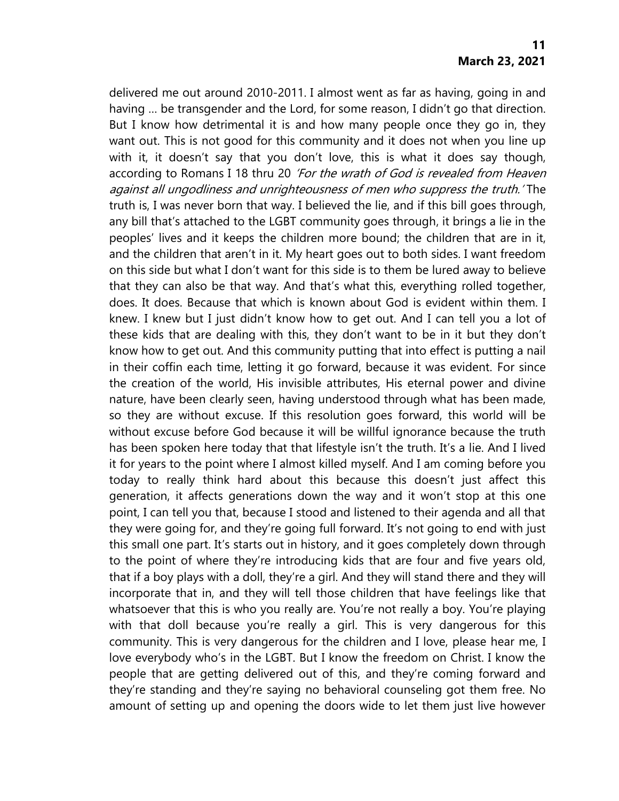delivered me out around 2010-2011. I almost went as far as having, going in and having … be transgender and the Lord, for some reason, I didn't go that direction. But I know how detrimental it is and how many people once they go in, they want out. This is not good for this community and it does not when you line up with it, it doesn't say that you don't love, this is what it does say though, according to Romans I 18 thru 20 'For the wrath of God is revealed from Heaven against all ungodliness and unrighteousness of men who suppress the truth.' The truth is, I was never born that way. I believed the lie, and if this bill goes through, any bill that's attached to the LGBT community goes through, it brings a lie in the peoples' lives and it keeps the children more bound; the children that are in it, and the children that aren't in it. My heart goes out to both sides. I want freedom on this side but what I don't want for this side is to them be lured away to believe that they can also be that way. And that's what this, everything rolled together, does. It does. Because that which is known about God is evident within them. I knew. I knew but I just didn't know how to get out. And I can tell you a lot of these kids that are dealing with this, they don't want to be in it but they don't know how to get out. And this community putting that into effect is putting a nail in their coffin each time, letting it go forward, because it was evident. For since the creation of the world, His invisible attributes, His eternal power and divine nature, have been clearly seen, having understood through what has been made, so they are without excuse. If this resolution goes forward, this world will be without excuse before God because it will be willful ignorance because the truth has been spoken here today that that lifestyle isn't the truth. It's a lie. And I lived it for years to the point where I almost killed myself. And I am coming before you today to really think hard about this because this doesn't just affect this generation, it affects generations down the way and it won't stop at this one point, I can tell you that, because I stood and listened to their agenda and all that they were going for, and they're going full forward. It's not going to end with just this small one part. It's starts out in history, and it goes completely down through to the point of where they're introducing kids that are four and five years old, that if a boy plays with a doll, they're a girl. And they will stand there and they will incorporate that in, and they will tell those children that have feelings like that whatsoever that this is who you really are. You're not really a boy. You're playing with that doll because you're really a girl. This is very dangerous for this community. This is very dangerous for the children and I love, please hear me, I love everybody who's in the LGBT. But I know the freedom on Christ. I know the people that are getting delivered out of this, and they're coming forward and they're standing and they're saying no behavioral counseling got them free. No amount of setting up and opening the doors wide to let them just live however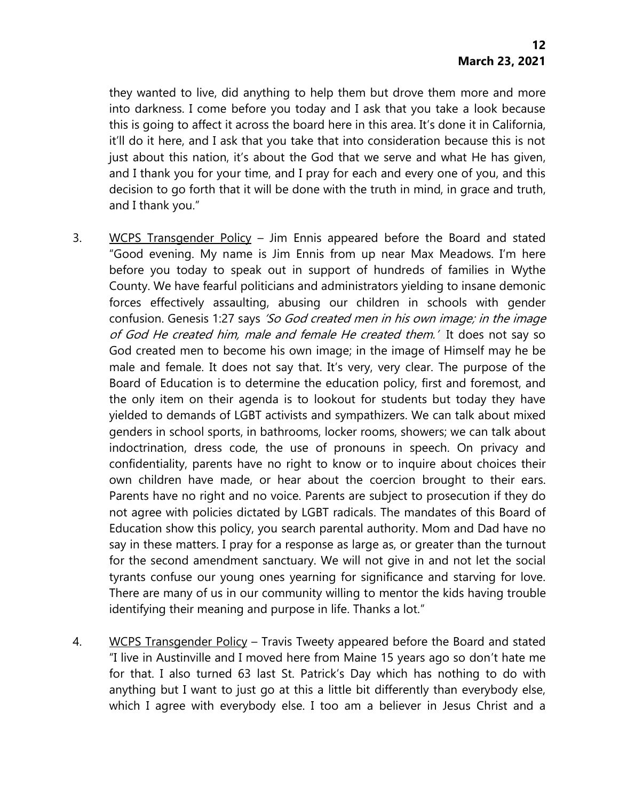they wanted to live, did anything to help them but drove them more and more into darkness. I come before you today and I ask that you take a look because this is going to affect it across the board here in this area. It's done it in California, it'll do it here, and I ask that you take that into consideration because this is not just about this nation, it's about the God that we serve and what He has given, and I thank you for your time, and I pray for each and every one of you, and this decision to go forth that it will be done with the truth in mind, in grace and truth, and I thank you."

- 3. WCPS Transgender Policy Jim Ennis appeared before the Board and stated "Good evening. My name is Jim Ennis from up near Max Meadows. I'm here before you today to speak out in support of hundreds of families in Wythe County. We have fearful politicians and administrators yielding to insane demonic forces effectively assaulting, abusing our children in schools with gender confusion. Genesis 1:27 says 'So God created men in his own image; in the image of God He created him, male and female He created them.' It does not say so God created men to become his own image; in the image of Himself may he be male and female. It does not say that. It's very, very clear. The purpose of the Board of Education is to determine the education policy, first and foremost, and the only item on their agenda is to lookout for students but today they have yielded to demands of LGBT activists and sympathizers. We can talk about mixed genders in school sports, in bathrooms, locker rooms, showers; we can talk about indoctrination, dress code, the use of pronouns in speech. On privacy and confidentiality, parents have no right to know or to inquire about choices their own children have made, or hear about the coercion brought to their ears. Parents have no right and no voice. Parents are subject to prosecution if they do not agree with policies dictated by LGBT radicals. The mandates of this Board of Education show this policy, you search parental authority. Mom and Dad have no say in these matters. I pray for a response as large as, or greater than the turnout for the second amendment sanctuary. We will not give in and not let the social tyrants confuse our young ones yearning for significance and starving for love. There are many of us in our community willing to mentor the kids having trouble identifying their meaning and purpose in life. Thanks a lot."
- 4. WCPS Transgender Policy Travis Tweety appeared before the Board and stated "I live in Austinville and I moved here from Maine 15 years ago so don't hate me for that. I also turned 63 last St. Patrick's Day which has nothing to do with anything but I want to just go at this a little bit differently than everybody else, which I agree with everybody else. I too am a believer in Jesus Christ and a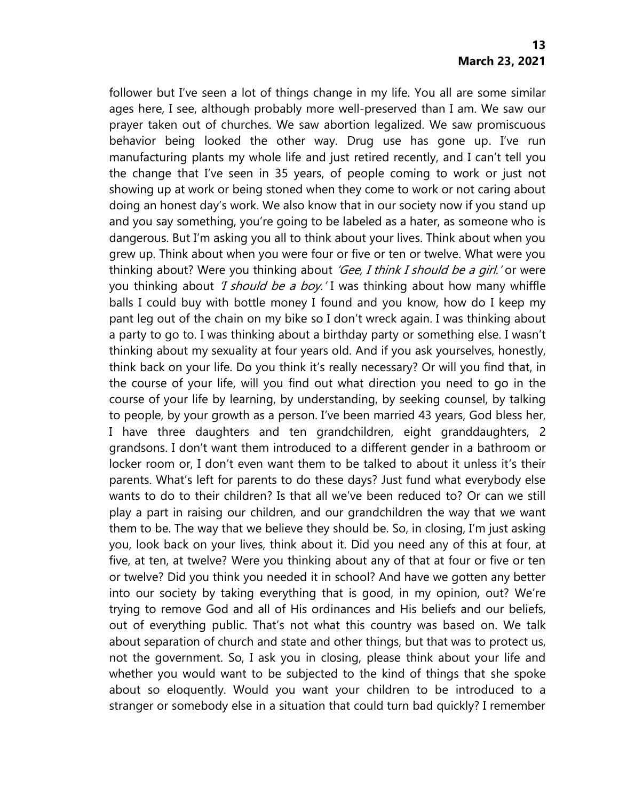follower but I've seen a lot of things change in my life. You all are some similar ages here, I see, although probably more well-preserved than I am. We saw our prayer taken out of churches. We saw abortion legalized. We saw promiscuous behavior being looked the other way. Drug use has gone up. I've run manufacturing plants my whole life and just retired recently, and I can't tell you the change that I've seen in 35 years, of people coming to work or just not showing up at work or being stoned when they come to work or not caring about doing an honest day's work. We also know that in our society now if you stand up and you say something, you're going to be labeled as a hater, as someone who is dangerous. But I'm asking you all to think about your lives. Think about when you grew up. Think about when you were four or five or ten or twelve. What were you thinking about? Were you thinking about 'Gee, I think I should be a girl.' or were you thinking about *'I should be a boy.'* I was thinking about how many whiffle balls I could buy with bottle money I found and you know, how do I keep my pant leg out of the chain on my bike so I don't wreck again. I was thinking about a party to go to. I was thinking about a birthday party or something else. I wasn't thinking about my sexuality at four years old. And if you ask yourselves, honestly, think back on your life. Do you think it's really necessary? Or will you find that, in the course of your life, will you find out what direction you need to go in the course of your life by learning, by understanding, by seeking counsel, by talking to people, by your growth as a person. I've been married 43 years, God bless her, I have three daughters and ten grandchildren, eight granddaughters, 2 grandsons. I don't want them introduced to a different gender in a bathroom or locker room or, I don't even want them to be talked to about it unless it's their parents. What's left for parents to do these days? Just fund what everybody else wants to do to their children? Is that all we've been reduced to? Or can we still play a part in raising our children, and our grandchildren the way that we want them to be. The way that we believe they should be. So, in closing, I'm just asking you, look back on your lives, think about it. Did you need any of this at four, at five, at ten, at twelve? Were you thinking about any of that at four or five or ten or twelve? Did you think you needed it in school? And have we gotten any better into our society by taking everything that is good, in my opinion, out? We're trying to remove God and all of His ordinances and His beliefs and our beliefs, out of everything public. That's not what this country was based on. We talk about separation of church and state and other things, but that was to protect us, not the government. So, I ask you in closing, please think about your life and whether you would want to be subjected to the kind of things that she spoke about so eloquently. Would you want your children to be introduced to a stranger or somebody else in a situation that could turn bad quickly? I remember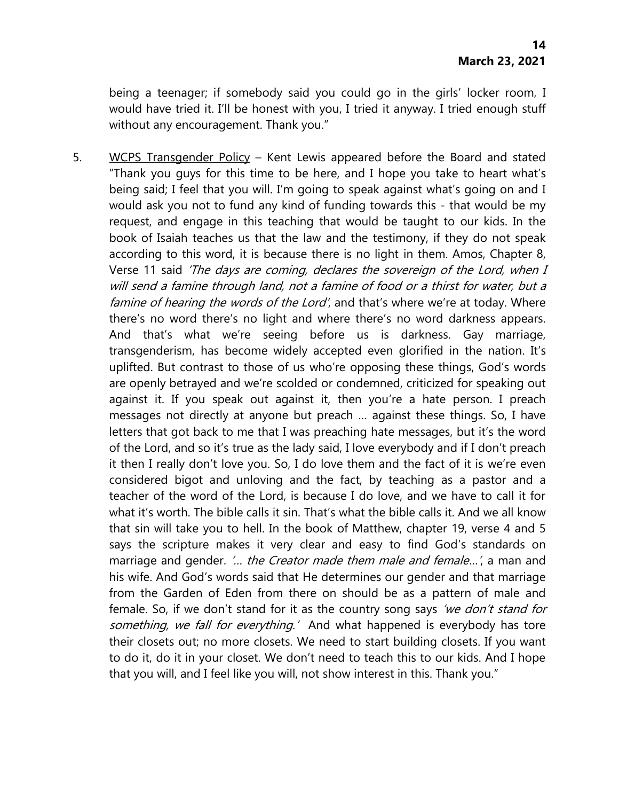being a teenager; if somebody said you could go in the girls' locker room, I would have tried it. I'll be honest with you, I tried it anyway. I tried enough stuff without any encouragement. Thank you."

5. WCPS Transgender Policy – Kent Lewis appeared before the Board and stated "Thank you guys for this time to be here, and I hope you take to heart what's being said; I feel that you will. I'm going to speak against what's going on and I would ask you not to fund any kind of funding towards this - that would be my request, and engage in this teaching that would be taught to our kids. In the book of Isaiah teaches us that the law and the testimony, if they do not speak according to this word, it is because there is no light in them. Amos, Chapter 8, Verse 11 said 'The days are coming, declares the sovereign of the Lord, when I will send a famine through land, not a famine of food or a thirst for water, but a famine of hearing the words of the Lord', and that's where we're at today. Where there's no word there's no light and where there's no word darkness appears. And that's what we're seeing before us is darkness. Gay marriage, transgenderism, has become widely accepted even glorified in the nation. It's uplifted. But contrast to those of us who're opposing these things, God's words are openly betrayed and we're scolded or condemned, criticized for speaking out against it. If you speak out against it, then you're a hate person. I preach messages not directly at anyone but preach … against these things. So, I have letters that got back to me that I was preaching hate messages, but it's the word of the Lord, and so it's true as the lady said, I love everybody and if I don't preach it then I really don't love you. So, I do love them and the fact of it is we're even considered bigot and unloving and the fact, by teaching as a pastor and a teacher of the word of the Lord, is because I do love, and we have to call it for what it's worth. The bible calls it sin. That's what the bible calls it. And we all know that sin will take you to hell. In the book of Matthew, chapter 19, verse 4 and 5 says the scripture makes it very clear and easy to find God's standards on marriage and gender. '... the Creator made them male and female...', a man and his wife. And God's words said that He determines our gender and that marriage from the Garden of Eden from there on should be as a pattern of male and female. So, if we don't stand for it as the country song says 'we don't stand for something, we fall for everything.' And what happened is everybody has tore their closets out; no more closets. We need to start building closets. If you want to do it, do it in your closet. We don't need to teach this to our kids. And I hope that you will, and I feel like you will, not show interest in this. Thank you."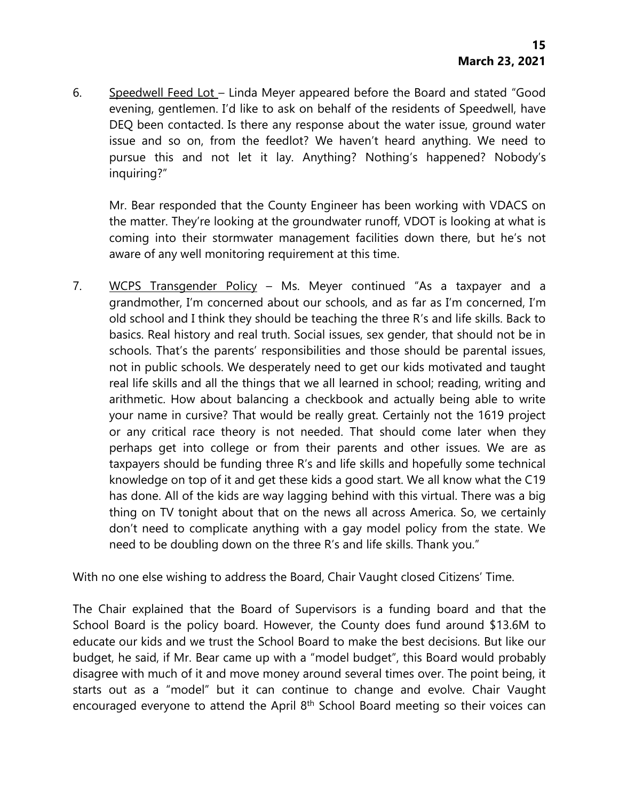6. Speedwell Feed Lot – Linda Meyer appeared before the Board and stated "Good evening, gentlemen. I'd like to ask on behalf of the residents of Speedwell, have DEQ been contacted. Is there any response about the water issue, ground water issue and so on, from the feedlot? We haven't heard anything. We need to pursue this and not let it lay. Anything? Nothing's happened? Nobody's inquiring?"

Mr. Bear responded that the County Engineer has been working with VDACS on the matter. They're looking at the groundwater runoff, VDOT is looking at what is coming into their stormwater management facilities down there, but he's not aware of any well monitoring requirement at this time.

7. WCPS Transgender Policy – Ms. Meyer continued "As a taxpayer and a grandmother, I'm concerned about our schools, and as far as I'm concerned, I'm old school and I think they should be teaching the three R's and life skills. Back to basics. Real history and real truth. Social issues, sex gender, that should not be in schools. That's the parents' responsibilities and those should be parental issues, not in public schools. We desperately need to get our kids motivated and taught real life skills and all the things that we all learned in school; reading, writing and arithmetic. How about balancing a checkbook and actually being able to write your name in cursive? That would be really great. Certainly not the 1619 project or any critical race theory is not needed. That should come later when they perhaps get into college or from their parents and other issues. We are as taxpayers should be funding three R's and life skills and hopefully some technical knowledge on top of it and get these kids a good start. We all know what the C19 has done. All of the kids are way lagging behind with this virtual. There was a big thing on TV tonight about that on the news all across America. So, we certainly don't need to complicate anything with a gay model policy from the state. We need to be doubling down on the three R's and life skills. Thank you."

With no one else wishing to address the Board, Chair Vaught closed Citizens' Time.

The Chair explained that the Board of Supervisors is a funding board and that the School Board is the policy board. However, the County does fund around \$13.6M to educate our kids and we trust the School Board to make the best decisions. But like our budget, he said, if Mr. Bear came up with a "model budget", this Board would probably disagree with much of it and move money around several times over. The point being, it starts out as a "model" but it can continue to change and evolve. Chair Vaught encouraged everyone to attend the April 8<sup>th</sup> School Board meeting so their voices can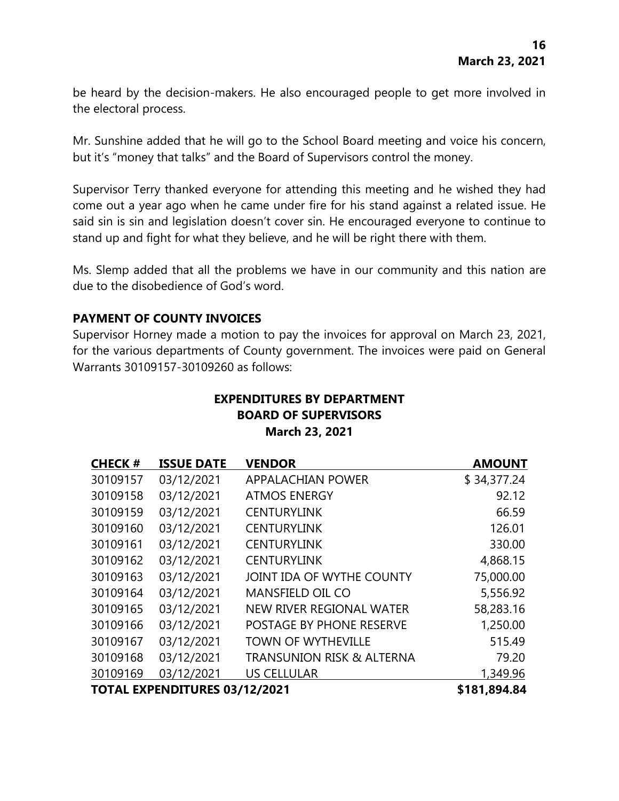be heard by the decision-makers. He also encouraged people to get more involved in the electoral process.

Mr. Sunshine added that he will go to the School Board meeting and voice his concern, but it's "money that talks" and the Board of Supervisors control the money.

Supervisor Terry thanked everyone for attending this meeting and he wished they had come out a year ago when he came under fire for his stand against a related issue. He said sin is sin and legislation doesn't cover sin. He encouraged everyone to continue to stand up and fight for what they believe, and he will be right there with them.

Ms. Slemp added that all the problems we have in our community and this nation are due to the disobedience of God's word.

# **PAYMENT OF COUNTY INVOICES**

Supervisor Horney made a motion to pay the invoices for approval on March 23, 2021, for the various departments of County government. The invoices were paid on General Warrants 30109157-30109260 as follows:

## **EXPENDITURES BY DEPARTMENT BOARD OF SUPERVISORS March 23, 2021**

| <b>CHECK#</b>                        | <b>ISSUE DATE</b> | <b>VENDOR</b>                        | <b>AMOUNT</b> |
|--------------------------------------|-------------------|--------------------------------------|---------------|
| 30109157                             | 03/12/2021        | <b>APPALACHIAN POWER</b>             | \$34,377.24   |
| 30109158                             | 03/12/2021        | <b>ATMOS ENERGY</b>                  | 92.12         |
| 30109159                             | 03/12/2021        | <b>CENTURYLINK</b>                   | 66.59         |
| 30109160                             | 03/12/2021        | <b>CENTURYLINK</b>                   | 126.01        |
| 30109161                             | 03/12/2021        | <b>CENTURYLINK</b>                   | 330.00        |
| 30109162                             | 03/12/2021        | <b>CENTURYLINK</b>                   | 4,868.15      |
| 30109163                             | 03/12/2021        | JOINT IDA OF WYTHE COUNTY            | 75,000.00     |
| 30109164                             | 03/12/2021        | MANSFIELD OIL CO                     | 5,556.92      |
| 30109165                             | 03/12/2021        | NEW RIVER REGIONAL WATER             | 58,283.16     |
| 30109166                             | 03/12/2021        | <b>POSTAGE BY PHONE RESERVE</b>      | 1,250.00      |
| 30109167                             | 03/12/2021        | <b>TOWN OF WYTHEVILLE</b>            | 515.49        |
| 30109168                             | 03/12/2021        | <b>TRANSUNION RISK &amp; ALTERNA</b> | 79.20         |
| 30109169                             | 03/12/2021        | <b>US CELLULAR</b>                   | 1,349.96      |
| <b>TOTAL EXPENDITURES 03/12/2021</b> |                   |                                      | \$181,894.84  |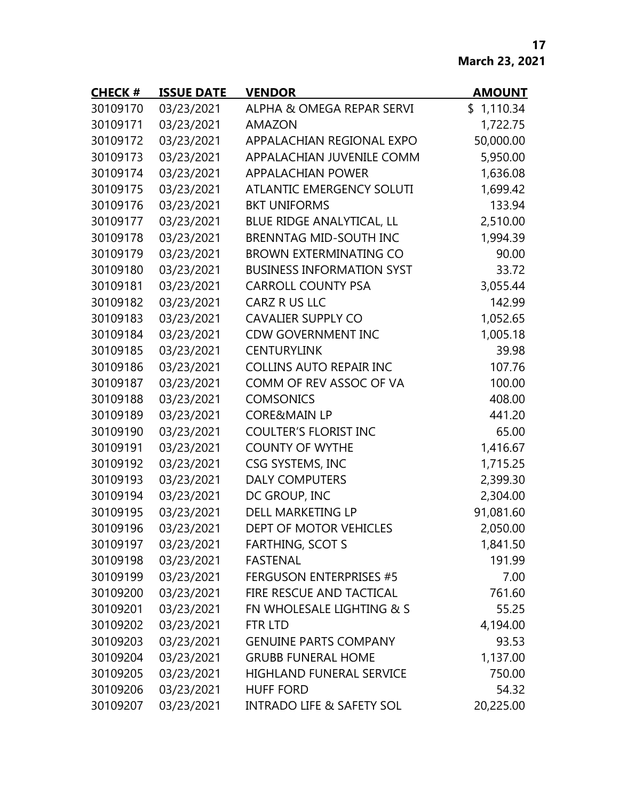# **March 23, 2021**

| <b>CHECK#</b> | <b>ISSUE DATE</b> | <b>VENDOR</b>                        | <b>AMOUNT</b> |
|---------------|-------------------|--------------------------------------|---------------|
| 30109170      | 03/23/2021        | ALPHA & OMEGA REPAR SERVI            | \$1,110.34    |
| 30109171      | 03/23/2021        | <b>AMAZON</b>                        | 1,722.75      |
| 30109172      | 03/23/2021        | APPALACHIAN REGIONAL EXPO            | 50,000.00     |
| 30109173      | 03/23/2021        | APPALACHIAN JUVENILE COMM            | 5,950.00      |
| 30109174      | 03/23/2021        | <b>APPALACHIAN POWER</b>             | 1,636.08      |
| 30109175      | 03/23/2021        | <b>ATLANTIC EMERGENCY SOLUTI</b>     | 1,699.42      |
| 30109176      | 03/23/2021        | <b>BKT UNIFORMS</b>                  | 133.94        |
| 30109177      | 03/23/2021        | BLUE RIDGE ANALYTICAL, LL            | 2,510.00      |
| 30109178      | 03/23/2021        | <b>BRENNTAG MID-SOUTH INC</b>        | 1,994.39      |
| 30109179      | 03/23/2021        | <b>BROWN EXTERMINATING CO</b>        | 90.00         |
| 30109180      | 03/23/2021        | <b>BUSINESS INFORMATION SYST</b>     | 33.72         |
| 30109181      | 03/23/2021        | <b>CARROLL COUNTY PSA</b>            | 3,055.44      |
| 30109182      | 03/23/2021        | CARZ R US LLC                        | 142.99        |
| 30109183      | 03/23/2021        | <b>CAVALIER SUPPLY CO</b>            | 1,052.65      |
| 30109184      | 03/23/2021        | <b>CDW GOVERNMENT INC</b>            | 1,005.18      |
| 30109185      | 03/23/2021        | <b>CENTURYLINK</b>                   | 39.98         |
| 30109186      | 03/23/2021        | <b>COLLINS AUTO REPAIR INC</b>       | 107.76        |
| 30109187      | 03/23/2021        | COMM OF REV ASSOC OF VA              | 100.00        |
| 30109188      | 03/23/2021        | <b>COMSONICS</b>                     | 408.00        |
| 30109189      | 03/23/2021        | <b>CORE&amp;MAIN LP</b>              | 441.20        |
| 30109190      | 03/23/2021        | <b>COULTER'S FLORIST INC</b>         | 65.00         |
| 30109191      | 03/23/2021        | <b>COUNTY OF WYTHE</b>               | 1,416.67      |
| 30109192      | 03/23/2021        | CSG SYSTEMS, INC                     | 1,715.25      |
| 30109193      | 03/23/2021        | <b>DALY COMPUTERS</b>                | 2,399.30      |
| 30109194      | 03/23/2021        | DC GROUP, INC                        | 2,304.00      |
| 30109195      | 03/23/2021        | <b>DELL MARKETING LP</b>             | 91,081.60     |
| 30109196      | 03/23/2021        | DEPT OF MOTOR VEHICLES               | 2,050.00      |
| 30109197      | 03/23/2021        | <b>FARTHING, SCOT S</b>              | 1,841.50      |
| 30109198      | 03/23/2021        | <b>FASTENAL</b>                      | 191.99        |
| 30109199      | 03/23/2021        | <b>FERGUSON ENTERPRISES #5</b>       | 7.00          |
| 30109200      | 03/23/2021        | FIRE RESCUE AND TACTICAL             | 761.60        |
| 30109201      | 03/23/2021        | FN WHOLESALE LIGHTING & S            | 55.25         |
| 30109202      | 03/23/2021        | FTR LTD                              | 4,194.00      |
| 30109203      | 03/23/2021        | <b>GENUINE PARTS COMPANY</b>         | 93.53         |
| 30109204      | 03/23/2021        | <b>GRUBB FUNERAL HOME</b>            | 1,137.00      |
| 30109205      | 03/23/2021        | HIGHLAND FUNERAL SERVICE             | 750.00        |
| 30109206      | 03/23/2021        | <b>HUFF FORD</b>                     | 54.32         |
| 30109207      | 03/23/2021        | <b>INTRADO LIFE &amp; SAFETY SOL</b> | 20,225.00     |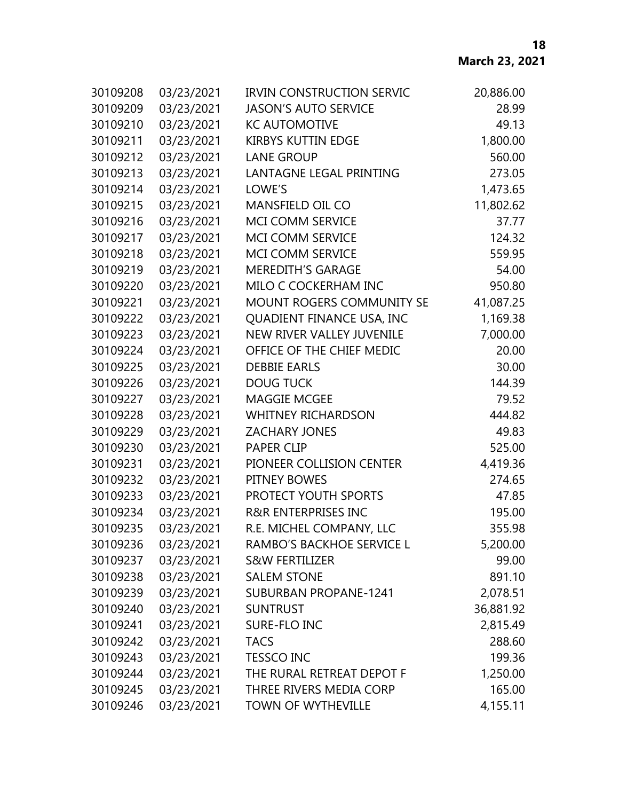| 30109208 | 03/23/2021 | <b>IRVIN CONSTRUCTION SERVIC</b> | 20,886.00 |
|----------|------------|----------------------------------|-----------|
| 30109209 | 03/23/2021 | <b>JASON'S AUTO SERVICE</b>      | 28.99     |
| 30109210 | 03/23/2021 | <b>KC AUTOMOTIVE</b>             | 49.13     |
| 30109211 | 03/23/2021 | <b>KIRBYS KUTTIN EDGE</b>        | 1,800.00  |
| 30109212 | 03/23/2021 | <b>LANE GROUP</b>                | 560.00    |
| 30109213 | 03/23/2021 | LANTAGNE LEGAL PRINTING          | 273.05    |
| 30109214 | 03/23/2021 | LOWE'S                           | 1,473.65  |
| 30109215 | 03/23/2021 | <b>MANSFIELD OIL CO</b>          | 11,802.62 |
| 30109216 | 03/23/2021 | MCI COMM SERVICE                 | 37.77     |
| 30109217 | 03/23/2021 | MCI COMM SERVICE                 | 124.32    |
| 30109218 | 03/23/2021 | <b>MCI COMM SERVICE</b>          | 559.95    |
| 30109219 | 03/23/2021 | <b>MEREDITH'S GARAGE</b>         | 54.00     |
| 30109220 | 03/23/2021 | MILO C COCKERHAM INC             | 950.80    |
| 30109221 | 03/23/2021 | MOUNT ROGERS COMMUNITY SE        | 41,087.25 |
| 30109222 | 03/23/2021 | QUADIENT FINANCE USA, INC        | 1,169.38  |
| 30109223 | 03/23/2021 | NEW RIVER VALLEY JUVENILE        | 7,000.00  |
| 30109224 | 03/23/2021 | OFFICE OF THE CHIEF MEDIC        | 20.00     |
| 30109225 | 03/23/2021 | <b>DEBBIE EARLS</b>              | 30.00     |
| 30109226 | 03/23/2021 | <b>DOUG TUCK</b>                 | 144.39    |
| 30109227 | 03/23/2021 | <b>MAGGIE MCGEE</b>              | 79.52     |
| 30109228 | 03/23/2021 | <b>WHITNEY RICHARDSON</b>        | 444.82    |
| 30109229 | 03/23/2021 | <b>ZACHARY JONES</b>             | 49.83     |
| 30109230 | 03/23/2021 | <b>PAPER CLIP</b>                | 525.00    |
| 30109231 | 03/23/2021 | PIONEER COLLISION CENTER         | 4,419.36  |
| 30109232 | 03/23/2021 | PITNEY BOWES                     | 274.65    |
| 30109233 | 03/23/2021 | PROTECT YOUTH SPORTS             | 47.85     |
| 30109234 | 03/23/2021 | <b>R&amp;R ENTERPRISES INC</b>   | 195.00    |
| 30109235 | 03/23/2021 | R.E. MICHEL COMPANY, LLC         | 355.98    |
| 30109236 | 03/23/2021 | RAMBO'S BACKHOE SERVICE L        | 5,200.00  |
| 30109237 | 03/23/2021 | S&W FERTILIZER                   | 99.00     |
| 30109238 | 03/23/2021 | <b>SALEM STONE</b>               | 891.10    |
| 30109239 | 03/23/2021 | <b>SUBURBAN PROPANE-1241</b>     | 2,078.51  |
| 30109240 | 03/23/2021 | <b>SUNTRUST</b>                  | 36,881.92 |
| 30109241 | 03/23/2021 | SURE-FLO INC                     | 2,815.49  |
| 30109242 | 03/23/2021 | <b>TACS</b>                      | 288.60    |
| 30109243 | 03/23/2021 | <b>TESSCO INC</b>                | 199.36    |
| 30109244 | 03/23/2021 | THE RURAL RETREAT DEPOT F        | 1,250.00  |
| 30109245 | 03/23/2021 | THREE RIVERS MEDIA CORP          | 165.00    |
| 30109246 | 03/23/2021 | <b>TOWN OF WYTHEVILLE</b>        | 4,155.11  |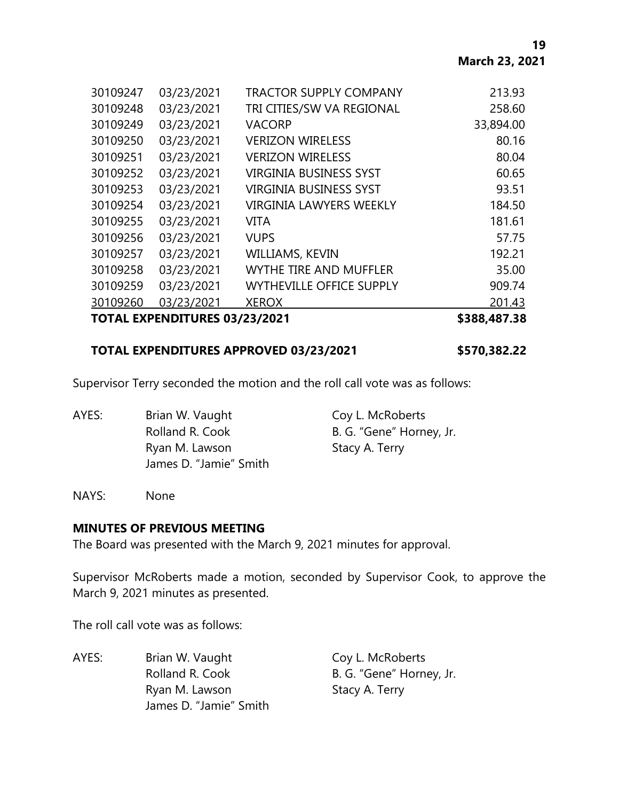| 30109247 | 03/23/2021                           | <b>TRACTOR SUPPLY COMPANY</b>   | 213.93    |
|----------|--------------------------------------|---------------------------------|-----------|
| 30109248 | 03/23/2021                           | TRI CITIES/SW VA REGIONAL       | 258.60    |
| 30109249 | 03/23/2021                           | <b>VACORP</b>                   | 33,894.00 |
| 30109250 | 03/23/2021                           | <b>VERIZON WIRELESS</b>         | 80.16     |
| 30109251 | 03/23/2021                           | <b>VERIZON WIRELESS</b>         | 80.04     |
| 30109252 | 03/23/2021                           | <b>VIRGINIA BUSINESS SYST</b>   | 60.65     |
| 30109253 | 03/23/2021                           | <b>VIRGINIA BUSINESS SYST</b>   | 93.51     |
| 30109254 | 03/23/2021                           | VIRGINIA LAWYERS WEEKLY         | 184.50    |
| 30109255 | 03/23/2021                           | <b>VITA</b>                     | 181.61    |
| 30109256 | 03/23/2021                           | <b>VUPS</b>                     | 57.75     |
| 30109257 | 03/23/2021                           | <b>WILLIAMS, KEVIN</b>          | 192.21    |
| 30109258 | 03/23/2021                           | <b>WYTHE TIRE AND MUFFLER</b>   | 35.00     |
| 30109259 | 03/23/2021                           | <b>WYTHEVILLE OFFICE SUPPLY</b> | 909.74    |
| 30109260 | 03/23/2021                           | <b>XEROX</b>                    | 201.43    |
|          | <b>TOTAL EXPENDITURES 03/23/2021</b> |                                 |           |

### **TOTAL EXPENDITURES APPROVED 03/23/2021 \$570,382.22**

Supervisor Terry seconded the motion and the roll call vote was as follows:

AYES: Brian W. Vaught Coy L. McRoberts Rolland R. Cook B. G. "Gene" Horney, Jr. Ryan M. Lawson Stacy A. Terry James D. "Jamie" Smith

NAYS: None

#### **MINUTES OF PREVIOUS MEETING**

The Board was presented with the March 9, 2021 minutes for approval.

Supervisor McRoberts made a motion, seconded by Supervisor Cook, to approve the March 9, 2021 minutes as presented.

The roll call vote was as follows:

AYES: Brian W. Vaught Coy L. McRoberts Rolland R. Cook B. G. "Gene" Horney, Jr. Ryan M. Lawson Stacy A. Terry James D. "Jamie" Smith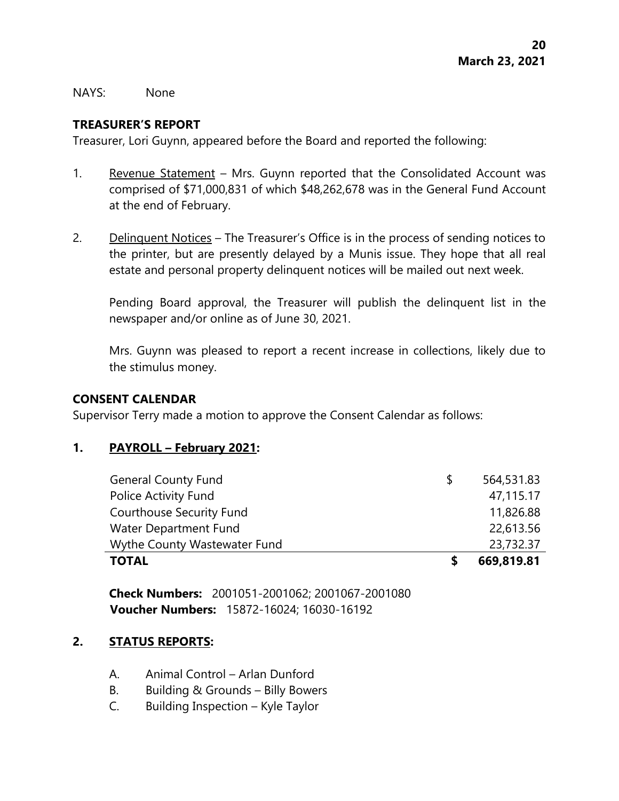NAYS: None

## **TREASURER'S REPORT**

Treasurer, Lori Guynn, appeared before the Board and reported the following:

- 1. Revenue Statement Mrs. Guynn reported that the Consolidated Account was comprised of \$71,000,831 of which \$48,262,678 was in the General Fund Account at the end of February.
- 2. Delinquent Notices The Treasurer's Office is in the process of sending notices to the printer, but are presently delayed by a Munis issue. They hope that all real estate and personal property delinquent notices will be mailed out next week.

Pending Board approval, the Treasurer will publish the delinquent list in the newspaper and/or online as of June 30, 2021.

Mrs. Guynn was pleased to report a recent increase in collections, likely due to the stimulus money.

#### **CONSENT CALENDAR**

Supervisor Terry made a motion to approve the Consent Calendar as follows:

#### **1. PAYROLL – February 2021:**

| <b>General County Fund</b>      | S | 564,531.83 |
|---------------------------------|---|------------|
| Police Activity Fund            |   | 47,115.17  |
| <b>Courthouse Security Fund</b> |   | 11,826.88  |
| Water Department Fund           |   | 22,613.56  |
| Wythe County Wastewater Fund    |   | 23,732.37  |
| <b>TOTAL</b>                    |   | 669,819.81 |

**Check Numbers:** 2001051-2001062; 2001067-2001080 **Voucher Numbers:** 15872-16024; 16030-16192

## **2. STATUS REPORTS:**

- A. Animal Control Arlan Dunford
- B. Building & Grounds Billy Bowers
- C. Building Inspection Kyle Taylor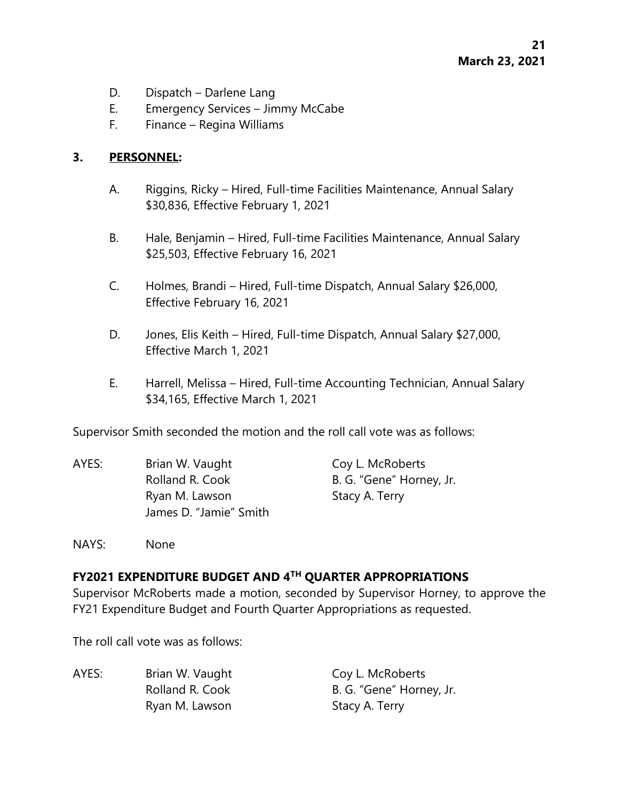- D. Dispatch Darlene Lang
- E. Emergency Services Jimmy McCabe
- F. Finance Regina Williams

## **3. PERSONNEL:**

- A. Riggins, Ricky Hired, Full-time Facilities Maintenance, Annual Salary \$30,836, Effective February 1, 2021
- B. Hale, Benjamin Hired, Full-time Facilities Maintenance, Annual Salary \$25,503, Effective February 16, 2021
- C. Holmes, Brandi Hired, Full-time Dispatch, Annual Salary \$26,000, Effective February 16, 2021
- D. Jones, Elis Keith Hired, Full-time Dispatch, Annual Salary \$27,000, Effective March 1, 2021
- E. Harrell, Melissa Hired, Full-time Accounting Technician, Annual Salary \$34,165, Effective March 1, 2021

Supervisor Smith seconded the motion and the roll call vote was as follows:

AYES: Brian W. Vaught Coy L. McRoberts Rolland R. Cook B. G. "Gene" Horney, Jr. Ryan M. Lawson Stacy A. Terry James D. "Jamie" Smith

NAYS: None

## **FY2021 EXPENDITURE BUDGET AND 4TH QUARTER APPROPRIATIONS**

Supervisor McRoberts made a motion, seconded by Supervisor Horney, to approve the FY21 Expenditure Budget and Fourth Quarter Appropriations as requested.

The roll call vote was as follows:

| AYES: | Brian W. Vaught | Coy L. McRoberts         |
|-------|-----------------|--------------------------|
|       | Rolland R. Cook | B. G. "Gene" Horney, Jr. |
|       | Ryan M. Lawson  | Stacy A. Terry           |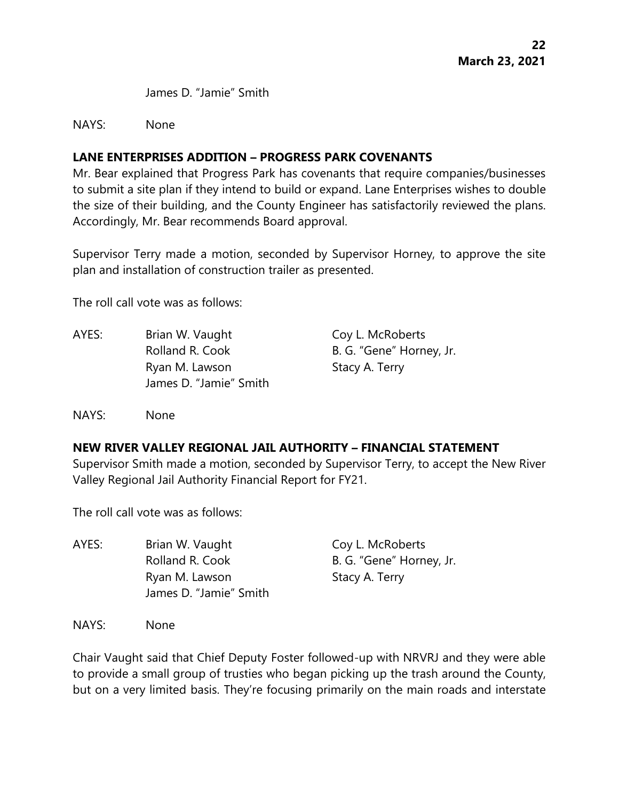James D. "Jamie" Smith

NAYS: None

# **LANE ENTERPRISES ADDITION – PROGRESS PARK COVENANTS**

Mr. Bear explained that Progress Park has covenants that require companies/businesses to submit a site plan if they intend to build or expand. Lane Enterprises wishes to double the size of their building, and the County Engineer has satisfactorily reviewed the plans. Accordingly, Mr. Bear recommends Board approval.

Supervisor Terry made a motion, seconded by Supervisor Horney, to approve the site plan and installation of construction trailer as presented.

The roll call vote was as follows:

AYES: Brian W. Vaught Coy L. McRoberts Rolland R. Cook B. G. "Gene" Horney, Jr. Ryan M. Lawson Stacy A. Terry James D. "Jamie" Smith

NAYS: None

# **NEW RIVER VALLEY REGIONAL JAIL AUTHORITY – FINANCIAL STATEMENT**

Supervisor Smith made a motion, seconded by Supervisor Terry, to accept the New River Valley Regional Jail Authority Financial Report for FY21.

The roll call vote was as follows:

AYES: Brian W. Vaught Coy L. McRoberts Rolland R. Cook B. G. "Gene" Horney, Jr. Ryan M. Lawson Stacy A. Terry James D. "Jamie" Smith

NAYS: None

Chair Vaught said that Chief Deputy Foster followed-up with NRVRJ and they were able to provide a small group of trusties who began picking up the trash around the County, but on a very limited basis. They're focusing primarily on the main roads and interstate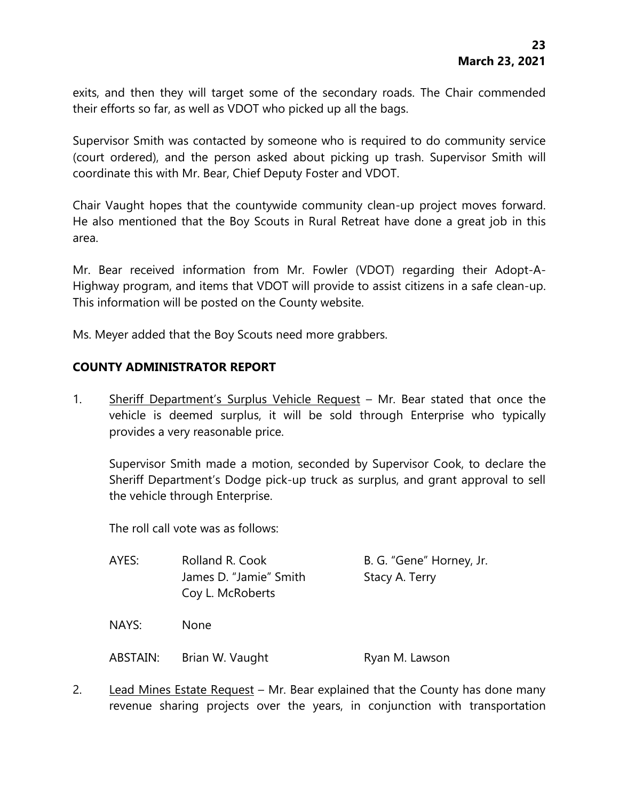exits, and then they will target some of the secondary roads. The Chair commended their efforts so far, as well as VDOT who picked up all the bags.

Supervisor Smith was contacted by someone who is required to do community service (court ordered), and the person asked about picking up trash. Supervisor Smith will coordinate this with Mr. Bear, Chief Deputy Foster and VDOT.

Chair Vaught hopes that the countywide community clean-up project moves forward. He also mentioned that the Boy Scouts in Rural Retreat have done a great job in this area.

Mr. Bear received information from Mr. Fowler (VDOT) regarding their Adopt-A-Highway program, and items that VDOT will provide to assist citizens in a safe clean-up. This information will be posted on the County website.

Ms. Meyer added that the Boy Scouts need more grabbers.

## **COUNTY ADMINISTRATOR REPORT**

1. Sheriff Department's Surplus Vehicle Request – Mr. Bear stated that once the vehicle is deemed surplus, it will be sold through Enterprise who typically provides a very reasonable price.

Supervisor Smith made a motion, seconded by Supervisor Cook, to declare the Sheriff Department's Dodge pick-up truck as surplus, and grant approval to sell the vehicle through Enterprise.

The roll call vote was as follows:

| AYES:    | Rolland R. Cook<br>James D. "Jamie" Smith<br>Coy L. McRoberts | B. G. "Gene" Horney, Jr.<br>Stacy A. Terry |
|----------|---------------------------------------------------------------|--------------------------------------------|
| NAYS:    | <b>None</b>                                                   |                                            |
| ABSTAIN: | Brian W. Vaught                                               | Ryan M. Lawson                             |

2. Lead Mines Estate Request – Mr. Bear explained that the County has done many revenue sharing projects over the years, in conjunction with transportation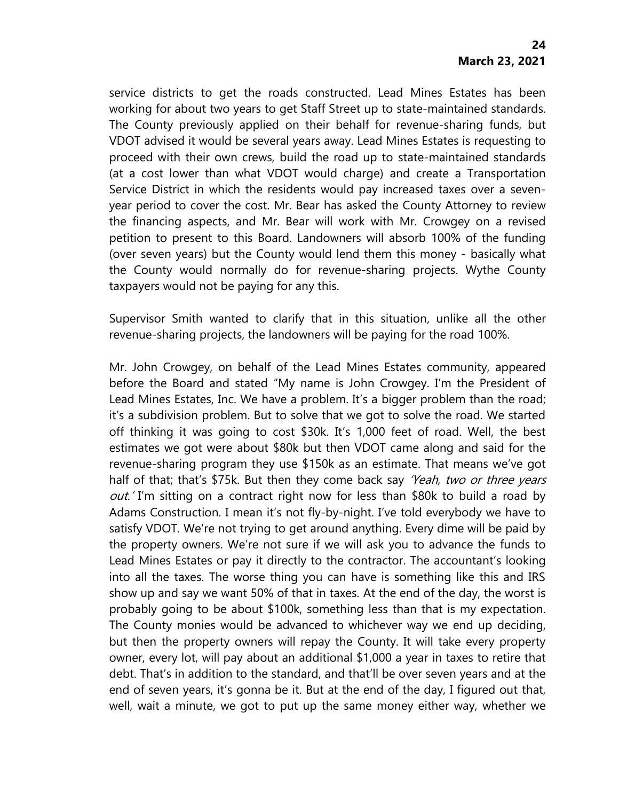service districts to get the roads constructed. Lead Mines Estates has been working for about two years to get Staff Street up to state-maintained standards. The County previously applied on their behalf for revenue-sharing funds, but VDOT advised it would be several years away. Lead Mines Estates is requesting to proceed with their own crews, build the road up to state-maintained standards (at a cost lower than what VDOT would charge) and create a Transportation Service District in which the residents would pay increased taxes over a sevenyear period to cover the cost. Mr. Bear has asked the County Attorney to review the financing aspects, and Mr. Bear will work with Mr. Crowgey on a revised petition to present to this Board. Landowners will absorb 100% of the funding (over seven years) but the County would lend them this money - basically what the County would normally do for revenue-sharing projects. Wythe County taxpayers would not be paying for any this.

Supervisor Smith wanted to clarify that in this situation, unlike all the other revenue-sharing projects, the landowners will be paying for the road 100%.

Mr. John Crowgey, on behalf of the Lead Mines Estates community, appeared before the Board and stated "My name is John Crowgey. I'm the President of Lead Mines Estates, Inc. We have a problem. It's a bigger problem than the road; it's a subdivision problem. But to solve that we got to solve the road. We started off thinking it was going to cost \$30k. It's 1,000 feet of road. Well, the best estimates we got were about \$80k but then VDOT came along and said for the revenue-sharing program they use \$150k as an estimate. That means we've got half of that; that's \$75k. But then they come back say 'Yeah, two or three years out.' I'm sitting on a contract right now for less than \$80k to build a road by Adams Construction. I mean it's not fly-by-night. I've told everybody we have to satisfy VDOT. We're not trying to get around anything. Every dime will be paid by the property owners. We're not sure if we will ask you to advance the funds to Lead Mines Estates or pay it directly to the contractor. The accountant's looking into all the taxes. The worse thing you can have is something like this and IRS show up and say we want 50% of that in taxes. At the end of the day, the worst is probably going to be about \$100k, something less than that is my expectation. The County monies would be advanced to whichever way we end up deciding, but then the property owners will repay the County. It will take every property owner, every lot, will pay about an additional \$1,000 a year in taxes to retire that debt. That's in addition to the standard, and that'll be over seven years and at the end of seven years, it's gonna be it. But at the end of the day, I figured out that, well, wait a minute, we got to put up the same money either way, whether we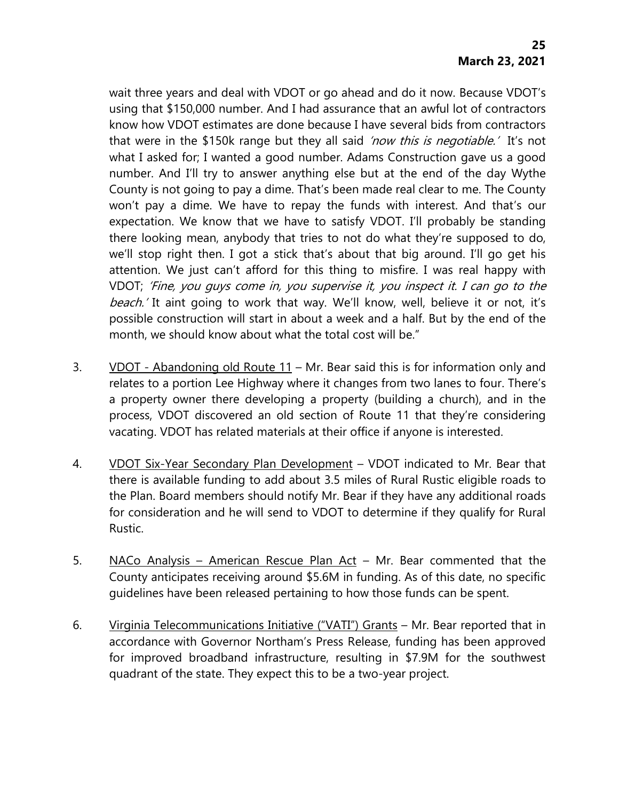wait three years and deal with VDOT or go ahead and do it now. Because VDOT's using that \$150,000 number. And I had assurance that an awful lot of contractors know how VDOT estimates are done because I have several bids from contractors that were in the \$150k range but they all said *'now this is negotiable.'* It's not what I asked for; I wanted a good number. Adams Construction gave us a good number. And I'll try to answer anything else but at the end of the day Wythe County is not going to pay a dime. That's been made real clear to me. The County won't pay a dime. We have to repay the funds with interest. And that's our expectation. We know that we have to satisfy VDOT. I'll probably be standing there looking mean, anybody that tries to not do what they're supposed to do, we'll stop right then. I got a stick that's about that big around. I'll go get his attention. We just can't afford for this thing to misfire. I was real happy with VDOT; 'Fine, you guys come in, you supervise it, you inspect it. I can go to the beach.' It aint going to work that way. We'll know, well, believe it or not, it's possible construction will start in about a week and a half. But by the end of the month, we should know about what the total cost will be."

- 3. VDOT Abandoning old Route 11 Mr. Bear said this is for information only and relates to a portion Lee Highway where it changes from two lanes to four. There's a property owner there developing a property (building a church), and in the process, VDOT discovered an old section of Route 11 that they're considering vacating. VDOT has related materials at their office if anyone is interested.
- 4. VDOT Six-Year Secondary Plan Development VDOT indicated to Mr. Bear that there is available funding to add about 3.5 miles of Rural Rustic eligible roads to the Plan. Board members should notify Mr. Bear if they have any additional roads for consideration and he will send to VDOT to determine if they qualify for Rural Rustic.
- 5. NACo Analysis American Rescue Plan Act Mr. Bear commented that the County anticipates receiving around \$5.6M in funding. As of this date, no specific guidelines have been released pertaining to how those funds can be spent.
- 6. Virginia Telecommunications Initiative ("VATI") Grants Mr. Bear reported that in accordance with Governor Northam's Press Release, funding has been approved for improved broadband infrastructure, resulting in \$7.9M for the southwest quadrant of the state. They expect this to be a two-year project.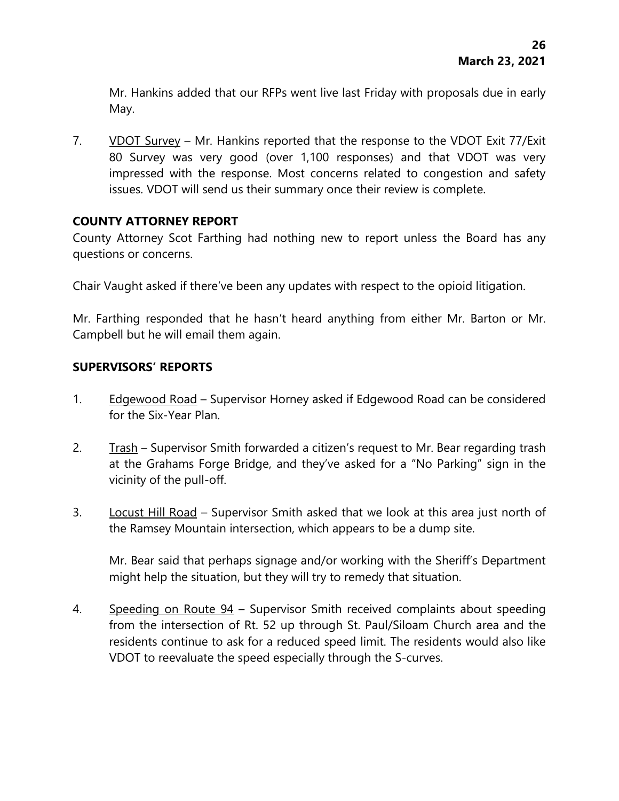Mr. Hankins added that our RFPs went live last Friday with proposals due in early May.

7. VDOT Survey – Mr. Hankins reported that the response to the VDOT Exit 77/Exit 80 Survey was very good (over 1,100 responses) and that VDOT was very impressed with the response. Most concerns related to congestion and safety issues. VDOT will send us their summary once their review is complete.

# **COUNTY ATTORNEY REPORT**

County Attorney Scot Farthing had nothing new to report unless the Board has any questions or concerns.

Chair Vaught asked if there've been any updates with respect to the opioid litigation.

Mr. Farthing responded that he hasn't heard anything from either Mr. Barton or Mr. Campbell but he will email them again.

# **SUPERVISORS' REPORTS**

- 1. Edgewood Road Supervisor Horney asked if Edgewood Road can be considered for the Six-Year Plan.
- 2. Trash Supervisor Smith forwarded a citizen's request to Mr. Bear regarding trash at the Grahams Forge Bridge, and they've asked for a "No Parking" sign in the vicinity of the pull-off.
- 3. Locust Hill Road Supervisor Smith asked that we look at this area just north of the Ramsey Mountain intersection, which appears to be a dump site.

Mr. Bear said that perhaps signage and/or working with the Sheriff's Department might help the situation, but they will try to remedy that situation.

4. Speeding on Route 94 – Supervisor Smith received complaints about speeding from the intersection of Rt. 52 up through St. Paul/Siloam Church area and the residents continue to ask for a reduced speed limit. The residents would also like VDOT to reevaluate the speed especially through the S-curves.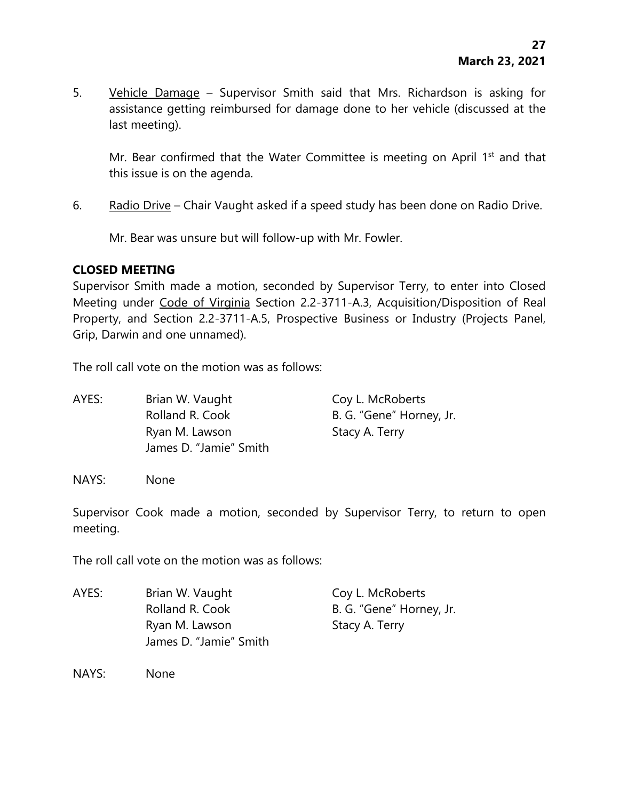5. Vehicle Damage - Supervisor Smith said that Mrs. Richardson is asking for assistance getting reimbursed for damage done to her vehicle (discussed at the last meeting).

Mr. Bear confirmed that the Water Committee is meeting on April 1<sup>st</sup> and that this issue is on the agenda.

6. Radio Drive – Chair Vaught asked if a speed study has been done on Radio Drive.

Mr. Bear was unsure but will follow-up with Mr. Fowler.

## **CLOSED MEETING**

Supervisor Smith made a motion, seconded by Supervisor Terry, to enter into Closed Meeting under Code of Virginia Section 2.2-3711-A.3, Acquisition/Disposition of Real Property, and Section 2.2-3711-A.5, Prospective Business or Industry (Projects Panel, Grip, Darwin and one unnamed).

The roll call vote on the motion was as follows:

AYES: Brian W. Vaught Coy L. McRoberts Rolland R. Cook B. G. "Gene" Horney, Jr. Ryan M. Lawson Stacy A. Terry James D. "Jamie" Smith

NAYS: None

Supervisor Cook made a motion, seconded by Supervisor Terry, to return to open meeting.

The roll call vote on the motion was as follows:

AYES: Brian W. Vaught Coy L. McRoberts Rolland R. Cook B. G. "Gene" Horney, Jr. Ryan M. Lawson Stacy A. Terry James D. "Jamie" Smith

NAYS: None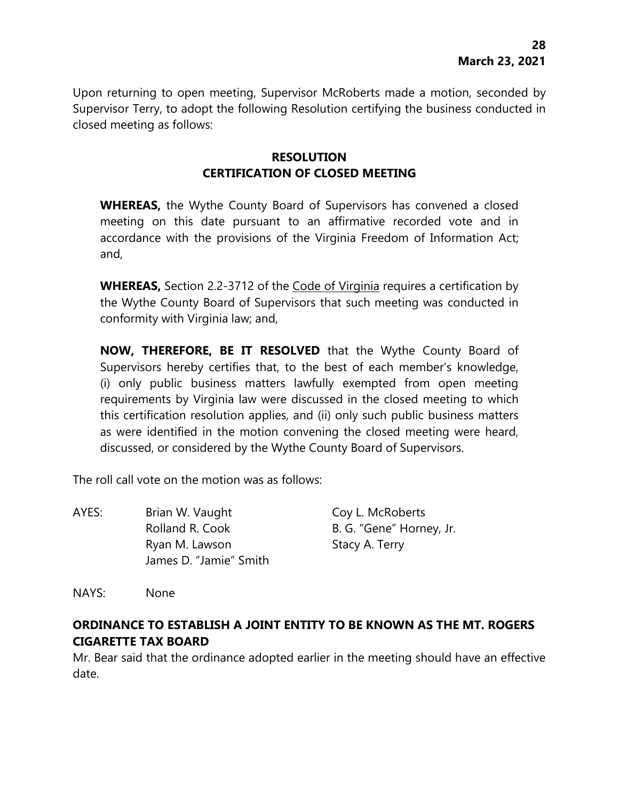Upon returning to open meeting, Supervisor McRoberts made a motion, seconded by Supervisor Terry, to adopt the following Resolution certifying the business conducted in closed meeting as follows:

# **RESOLUTION CERTIFICATION OF CLOSED MEETING**

**WHEREAS,** the Wythe County Board of Supervisors has convened a closed meeting on this date pursuant to an affirmative recorded vote and in accordance with the provisions of the Virginia Freedom of Information Act; and,

**WHEREAS,** Section 2.2-3712 of the Code of Virginia requires a certification by the Wythe County Board of Supervisors that such meeting was conducted in conformity with Virginia law; and,

**NOW, THEREFORE, BE IT RESOLVED** that the Wythe County Board of Supervisors hereby certifies that, to the best of each member's knowledge, (i) only public business matters lawfully exempted from open meeting requirements by Virginia law were discussed in the closed meeting to which this certification resolution applies, and (ii) only such public business matters as were identified in the motion convening the closed meeting were heard, discussed, or considered by the Wythe County Board of Supervisors.

The roll call vote on the motion was as follows:

| AYES: | Brian W. Vaught                          | Coy L. McRoberts         |
|-------|------------------------------------------|--------------------------|
|       | Rolland R. Cook                          | B. G. "Gene" Horney, Jr. |
|       | Ryan M. Lawson<br>James D. "Jamie" Smith | Stacy A. Terry           |
|       |                                          |                          |

NAYS: None

# **ORDINANCE TO ESTABLISH A JOINT ENTITY TO BE KNOWN AS THE MT. ROGERS CIGARETTE TAX BOARD**

Mr. Bear said that the ordinance adopted earlier in the meeting should have an effective date.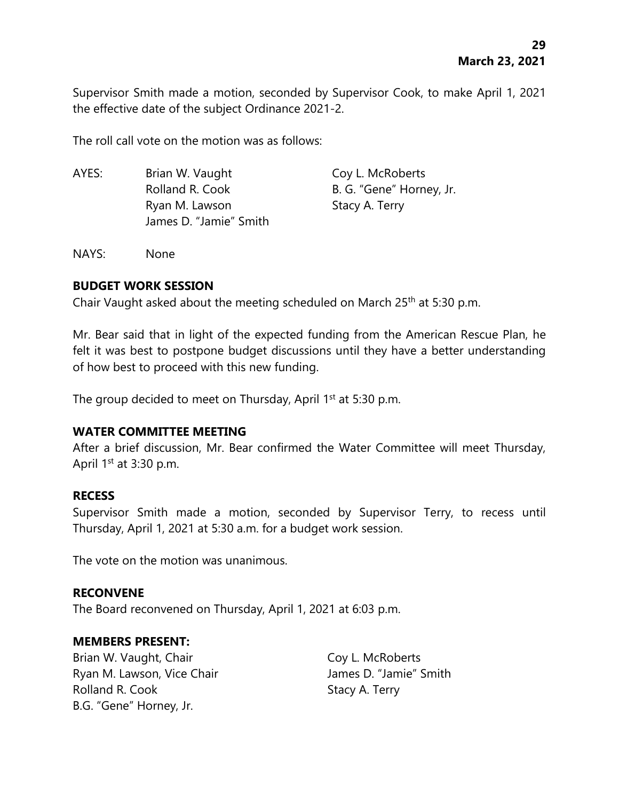Supervisor Smith made a motion, seconded by Supervisor Cook, to make April 1, 2021 the effective date of the subject Ordinance 2021-2.

The roll call vote on the motion was as follows:

AYES: Brian W. Vaught Coy L. McRoberts Rolland R. Cook B. G. "Gene" Horney, Jr. Ryan M. Lawson Stacy A. Terry James D. "Jamie" Smith

NAYS: None

#### **BUDGET WORK SESSION**

Chair Vaught asked about the meeting scheduled on March 25th at 5:30 p.m.

Mr. Bear said that in light of the expected funding from the American Rescue Plan, he felt it was best to postpone budget discussions until they have a better understanding of how best to proceed with this new funding.

The group decided to meet on Thursday, April  $1<sup>st</sup>$  at 5:30 p.m.

#### **WATER COMMITTEE MEETING**

After a brief discussion, Mr. Bear confirmed the Water Committee will meet Thursday, April  $1<sup>st</sup>$  at 3:30 p.m.

#### **RECESS**

Supervisor Smith made a motion, seconded by Supervisor Terry, to recess until Thursday, April 1, 2021 at 5:30 a.m. for a budget work session.

The vote on the motion was unanimous.

#### **RECONVENE**

The Board reconvened on Thursday, April 1, 2021 at 6:03 p.m.

#### **MEMBERS PRESENT:**

Brian W. Vaught, Chair Coy L. McRoberts Ryan M. Lawson, Vice Chair **James D. "Jamie"** Smith Rolland R. Cook Stacy A. Terry B.G. "Gene" Horney, Jr.